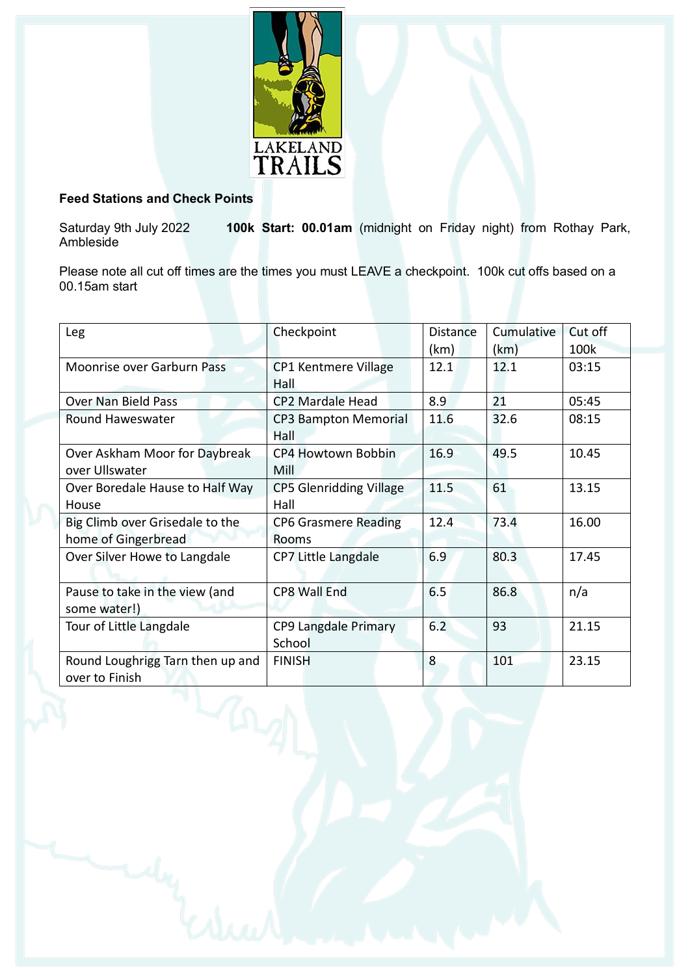

## **Feed Stations and Check Points**

Saturday 9th July 2022 **100k Start: 00.01am** (midnight on Friday night) from Rothay Park, Ambleside

Please note all cut off times are the times you must LEAVE a checkpoint. 100k cut offs based on a 00.15am start

| Leg                               | Checkpoint                     | <b>Distance</b> | Cumulative | Cut off |  |  |  |  |  |  |  |
|-----------------------------------|--------------------------------|-----------------|------------|---------|--|--|--|--|--|--|--|
|                                   |                                | (km)            | (km)       | 100k    |  |  |  |  |  |  |  |
| <b>Moonrise over Garburn Pass</b> | CP1 Kentmere Village           | 12.1            | 12.1       | 03:15   |  |  |  |  |  |  |  |
|                                   | Hall                           |                 |            |         |  |  |  |  |  |  |  |
| <b>Over Nan Bield Pass</b>        | <b>CP2 Mardale Head</b>        | 8.9             | 21         | 05:45   |  |  |  |  |  |  |  |
| Round Haweswater                  | <b>CP3 Bampton Memorial</b>    | 11.6            | 32.6       | 08:15   |  |  |  |  |  |  |  |
|                                   | Hall                           |                 |            |         |  |  |  |  |  |  |  |
| Over Askham Moor for Daybreak     | CP4 Howtown Bobbin             | 16.9            | 49.5       | 10.45   |  |  |  |  |  |  |  |
| over Ullswater                    | Mill                           |                 |            |         |  |  |  |  |  |  |  |
| Over Boredale Hause to Half Way   | <b>CP5 Glenridding Village</b> | 11.5            | 61         | 13.15   |  |  |  |  |  |  |  |
| House                             | Hall                           |                 |            |         |  |  |  |  |  |  |  |
| Big Climb over Grisedale to the   | <b>CP6 Grasmere Reading</b>    | 12.4            | 73.4       | 16.00   |  |  |  |  |  |  |  |
| home of Gingerbread               | Rooms                          |                 |            |         |  |  |  |  |  |  |  |
| Over Silver Howe to Langdale      | CP7 Little Langdale            | 6.9             | 80.3       | 17.45   |  |  |  |  |  |  |  |
|                                   |                                |                 |            |         |  |  |  |  |  |  |  |
| Pause to take in the view (and    | <b>CP8 Wall End</b>            | 6.5             | 86.8       | n/a     |  |  |  |  |  |  |  |
| some water!)                      |                                |                 |            |         |  |  |  |  |  |  |  |
| Tour of Little Langdale           | CP9 Langdale Primary           | 6.2             | 93         | 21.15   |  |  |  |  |  |  |  |
|                                   | School                         |                 |            |         |  |  |  |  |  |  |  |
| Round Loughrigg Tarn then up and  | <b>FINISH</b>                  | 8               | 101        | 23.15   |  |  |  |  |  |  |  |
| over to Finish                    |                                |                 |            |         |  |  |  |  |  |  |  |
|                                   |                                |                 |            |         |  |  |  |  |  |  |  |
|                                   |                                |                 |            |         |  |  |  |  |  |  |  |
|                                   |                                |                 |            |         |  |  |  |  |  |  |  |
|                                   |                                |                 |            |         |  |  |  |  |  |  |  |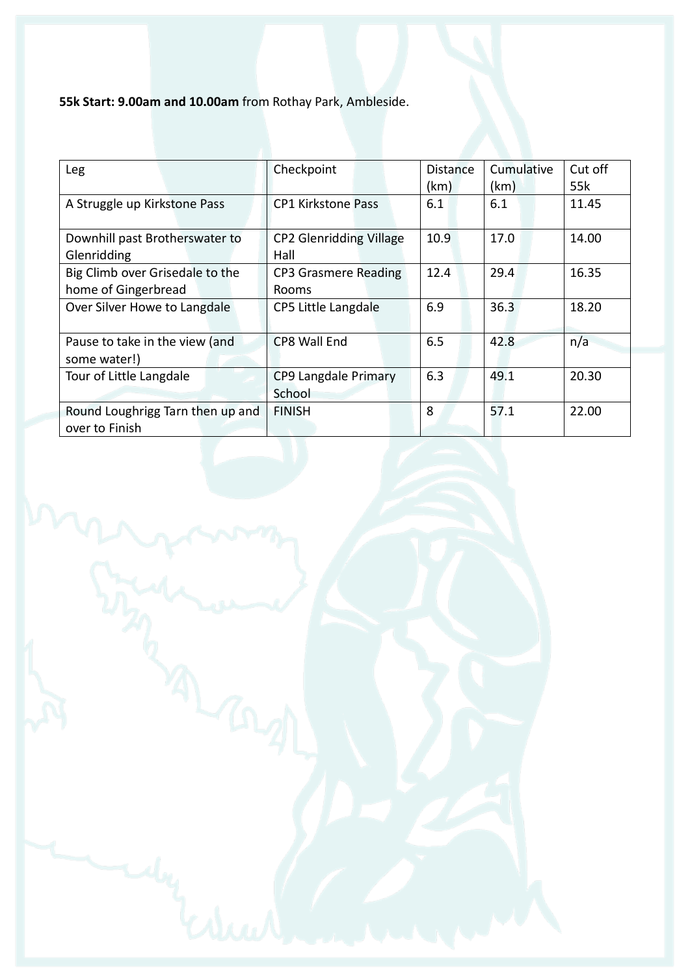**55k Start: 9.00am and 10.00am** from Rothay Park, Ambleside.

| Leg                                                    | Checkpoint                             | <b>Distance</b><br>(km) | Cumulative<br>(km) | Cut off<br>55k |
|--------------------------------------------------------|----------------------------------------|-------------------------|--------------------|----------------|
| A Struggle up Kirkstone Pass                           | <b>CP1 Kirkstone Pass</b>              | 6.1                     | 6.1                | 11.45          |
| Downhill past Brotherswater to<br>Glenridding          | <b>CP2 Glenridding Village</b><br>Hall | 10.9                    | 17.0               | 14.00          |
| Big Climb over Grisedale to the<br>home of Gingerbread | CP3 Grasmere Reading<br>Rooms          | 12.4                    | 29.4               | 16.35          |
| Over Silver Howe to Langdale                           | CP5 Little Langdale                    | 6.9                     | 36.3               | 18.20          |
| Pause to take in the view (and<br>some water!)         | CP8 Wall End                           | 6.5                     | 42.8               | n/a            |
| Tour of Little Langdale                                | CP9 Langdale Primary<br>School         | 6.3                     | 49.1               | 20.30          |
| Round Loughrigg Tarn then up and<br>over to Finish     | <b>FINISH</b>                          | 8                       | 57.1               | 22.00          |